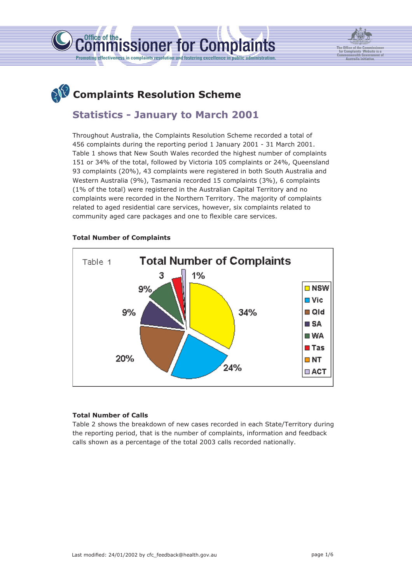



# **Statistics - January to March 2001**

Throughout Australia, the Complaints Resolution Scheme recorded a total of 456 complaints during the reporting period 1 January 2001 - 31 March 2001. Table 1 shows that New South Wales recorded the highest number of complaints 151 or 34% of the total, followed by Victoria 105 complaints or 24%, Queensland 93 complaints (20%), 43 complaints were registered in both South Australia and Western Australia (9%), Tasmania recorded 15 complaints (3%), 6 complaints (1% of the total) were registered in the Australian Capital Territory and no complaints were recorded in the Northern Territory. The majority of complaints related to aged residential care services, however, six complaints related to community aged care packages and one to flexible care services.

issioner for Complaints



## **Total Number of Complaints**

Office of the.

⊓ !

#### **Total Number of Calls**

Table 2 shows the breakdown of new cases recorded in each State/Territory during the reporting period, that is the number of complaints, information and feedback calls shown as a percentage of the total 2003 calls recorded nationally.

**The Office of the Commissioner for Complaints Website is a Commonwealth Government of Australia initiative.**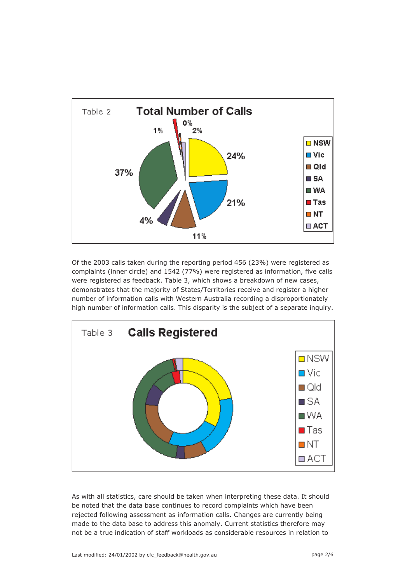

Of the 2003 calls taken during the reporting period 456 (23%) were registered as complaints (inner circle) and 1542 (77%) were registered as information, five calls were registered as feedback. Table 3, which shows a breakdown of new cases, demonstrates that the majority of States/Territories receive and register a higher number of information calls with Western Australia recording a disproportionately high number of information calls. This disparity is the subject of a separate inquiry.



As with all statistics, care should be taken when interpreting these data. It should be noted that the data base continues to record complaints which have been rejected following assessment as information calls. Changes are currently being made to the data base to address this anomaly. Current statistics therefore may not be a true indication of staff workloads as considerable resources in relation to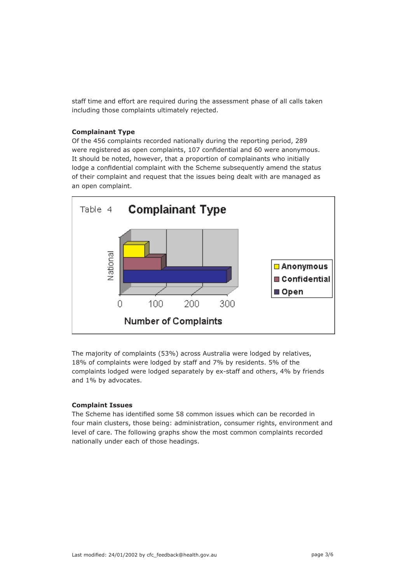staff time and effort are required during the assessment phase of all calls taken including those complaints ultimately rejected.

## **Complainant Type**

Of the 456 complaints recorded nationally during the reporting period, 289 were registered as open complaints, 107 confidential and 60 were anonymous. It should be noted, however, that a proportion of complainants who initially lodge a confidential complaint with the Scheme subsequently amend the status of their complaint and request that the issues being dealt with are managed as an open complaint.



The majority of complaints (53%) across Australia were lodged by relatives, 18% of complaints were lodged by staff and 7% by residents. 5% of the complaints lodged were lodged separately by ex-staff and others, 4% by friends and 1% by advocates.

#### **Complaint Issues**

The Scheme has identified some 58 common issues which can be recorded in four main clusters, those being: administration, consumer rights, environment and level of care. The following graphs show the most common complaints recorded nationally under each of those headings.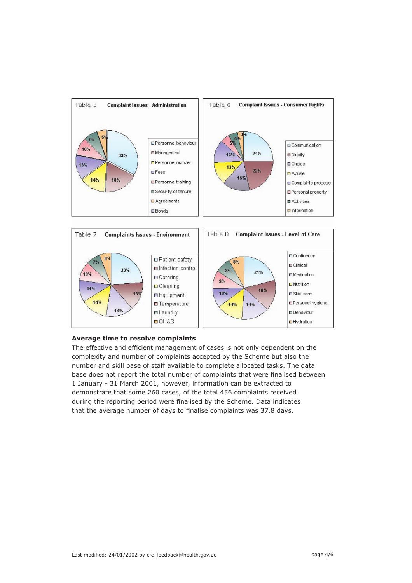



#### **Average time to resolve complaints**

The effective and efficient management of cases is not only dependent on the complexity and number of complaints accepted by the Scheme but also the number and skill base of staff available to complete allocated tasks. The data base does not report the total number of complaints that were finalised between 1 January - 31 March 2001, however, information can be extracted to demonstrate that some 260 cases, of the total 456 complaints received during the reporting period were finalised by the Scheme. Data indicates that the average number of days to finalise complaints was 37.8 days.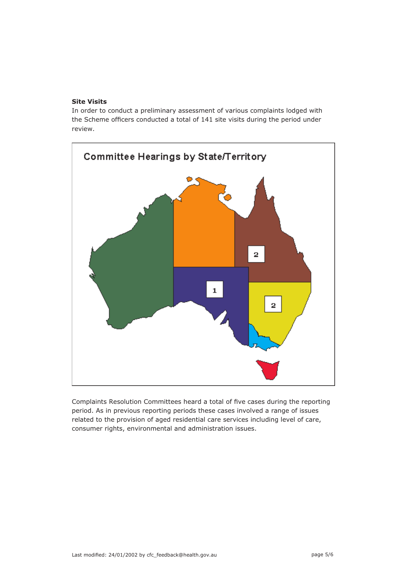#### **Site Visits**

In order to conduct a preliminary assessment of various complaints lodged with the Scheme officers conducted a total of 141 site visits during the period under review.



Complaints Resolution Committees heard a total of five cases during the reporting period. As in previous reporting periods these cases involved a range of issues related to the provision of aged residential care services including level of care, consumer rights, environmental and administration issues.